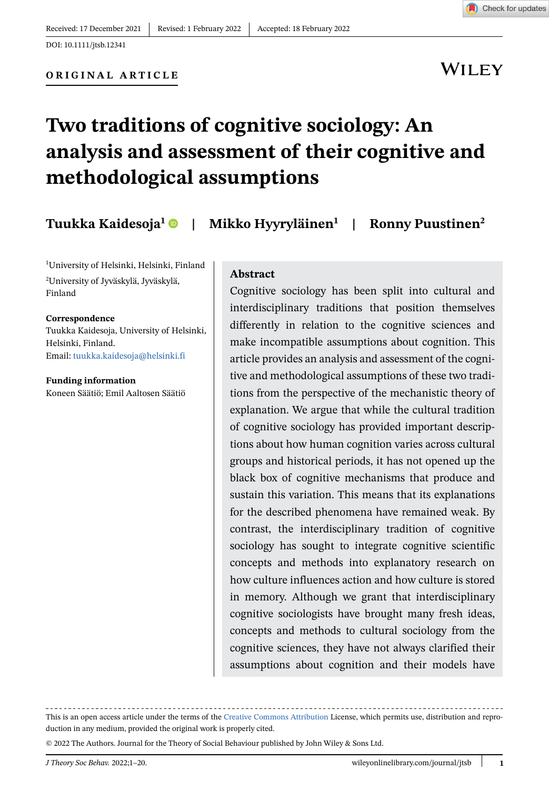Check for updates

WILEY

# **Two traditions of cognitive sociology: An analysis and assessment of their cognitive and methodological assumptions**

**Tuukka Kaidesoja1 | Mikko Hyyryläinen<sup>1</sup> | Ronny Puustinen2**

1 University of Helsinki, Helsinki, Finland 2 University of Jyväskylä, Jyväskylä, Finland

#### **Correspondence**

Tuukka Kaidesoja, University of Helsinki, Helsinki, Finland. Email: tuukka.kaidesoja@helsinki.fi

**Funding information** Koneen Säätiö; Emil Aaltosen Säätiö

#### **Abstract**

Cognitive sociology has been split into cultural and interdisciplinary traditions that position themselves differently in relation to the cognitive sciences and make incompatible assumptions about cognition. This article provides an analysis and assessment of the cognitive and methodological assumptions of these two traditions from the perspective of the mechanistic theory of explanation. We argue that while the cultural tradition of cognitive sociology has provided important descriptions about how human cognition varies across cultural groups and historical periods, it has not opened up the black box of cognitive mechanisms that produce and sustain this variation. This means that its explanations for the described phenomena have remained weak. By contrast, the interdisciplinary tradition of cognitive sociology has sought to integrate cognitive scientific concepts and methods into explanatory research on how culture influences action and how culture is stored in memory. Although we grant that interdisciplinary cognitive sociologists have brought many fresh ideas, concepts and methods to cultural sociology from the cognitive sciences, they have not always clarified their assumptions about cognition and their models have

This is an open access article under the terms of the [Creative Commons Attribution](http://creativecommons.org/licenses/by/4.0/) License, which permits use, distribution and reproduction in any medium, provided the original work is properly cited.

© 2022 The Authors. Journal for the Theory of Social Behaviour published by John Wiley & Sons Ltd.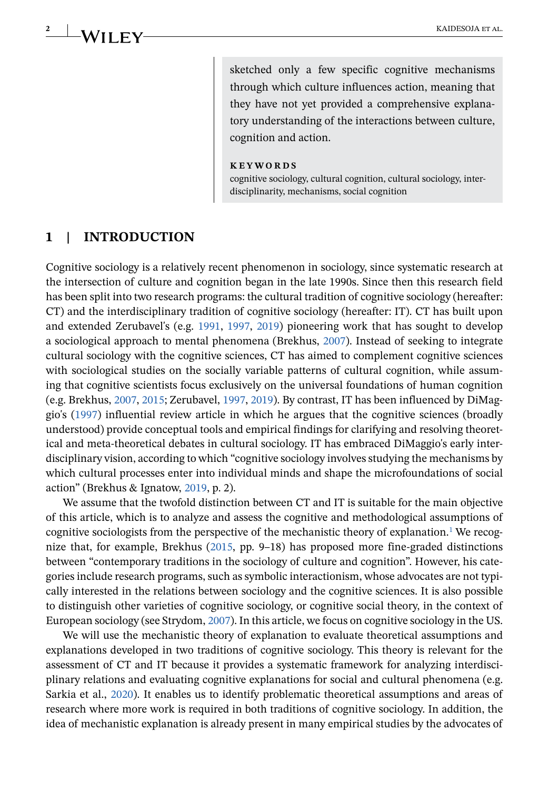sketched only a few specific cognitive mechanisms through which culture influences action, meaning that they have not yet provided a comprehensive explanatory understanding of the interactions between culture, cognition and action.

#### **KEYWORDS**

cognitive sociology, cultural cognition, cultural sociology, interdisciplinarity, mechanisms, social cognition

#### **1 | INTRODUCTION**

Cognitive sociology is a relatively recent phenomenon in sociology, since systematic research at the intersection of culture and cognition began in the late 1990s. Since then this research field has been split into two research programs: the cultural tradition of cognitive sociology (hereafter: CT) and the interdisciplinary tradition of cognitive sociology (hereafter: IT). CT has built upon and extended Zerubavel's (e.g. [1991,](#page-19-0) [1997,](#page-19-1) [2019\)](#page-19-2) pioneering work that has sought to develop a sociological approach to mental phenomena (Brekhus, [2007](#page-17-0)). Instead of seeking to integrate cultural sociology with the cognitive sciences, CT has aimed to complement cognitive sciences with sociological studies on the socially variable patterns of cultural cognition, while assuming that cognitive scientists focus exclusively on the universal foundations of human cognition (e.g. Brekhus, [2007,](#page-17-0) [2015](#page-17-1); Zerubavel, [1997,](#page-19-1) [2019](#page-19-2)). By contrast, IT has been influenced by DiMaggio's [\(1997](#page-17-2)) influential review article in which he argues that the cognitive sciences (broadly understood) provide conceptual tools and empirical findings for clarifying and resolving theoretical and meta-theoretical debates in cultural sociology. IT has embraced DiMaggio's early interdisciplinary vision, according to which "cognitive sociology involves studying the mechanisms by which cultural processes enter into individual minds and shape the microfoundations of social action" (Brekhus & Ignatow, [2019,](#page-17-3) p. 2).

We assume that the twofold distinction between CT and IT is suitable for the main objective of this article, which is to analyze and assess the cognitive and methodological assumptions of cognitive sociologists from the perspective of the mechanistic theory of explanation. $^1$  We recognize that, for example, Brekhus ([2015](#page-17-1), pp. 9–18) has proposed more fine-graded distinctions between "contemporary traditions in the sociology of culture and cognition". However, his categories include research programs, such as symbolic interactionism, whose advocates are not typically interested in the relations between sociology and the cognitive sciences. It is also possible to distinguish other varieties of cognitive sociology, or cognitive social theory, in the context of European sociology (see Strydom, [2007](#page-19-3)). In this article, we focus on cognitive sociology in the US.

We will use the mechanistic theory of explanation to evaluate theoretical assumptions and explanations developed in two traditions of cognitive sociology. This theory is relevant for the assessment of CT and IT because it provides a systematic framework for analyzing interdisciplinary relations and evaluating cognitive explanations for social and cultural phenomena (e.g. Sarkia et al., [2020\)](#page-19-4). It enables us to identify problematic theoretical assumptions and areas of research where more work is required in both traditions of cognitive sociology. In addition, the idea of mechanistic explanation is already present in many empirical studies by the advocates of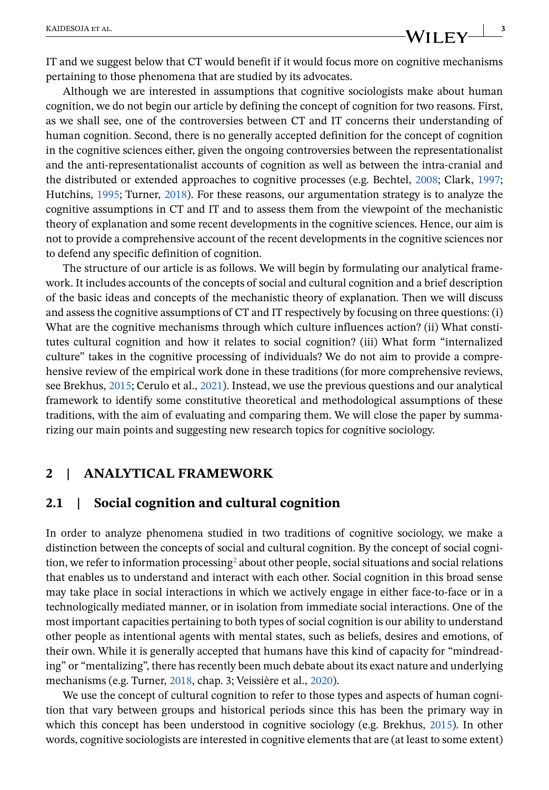IT and we suggest below that CT would benefit if it would focus more on cognitive mechanisms pertaining to those phenomena that are studied by its advocates.

Although we are interested in assumptions that cognitive sociologists make about human cognition, we do not begin our article by defining the concept of cognition for two reasons. First, as we shall see, one of the controversies between CT and IT concerns their understanding of human cognition. Second, there is no generally accepted definition for the concept of cognition in the cognitive sciences either, given the ongoing controversies between the representationalist and the anti-representationalist accounts of cognition as well as between the intra-cranial and the distributed or extended approaches to cognitive processes (e.g. Bechtel, [2008;](#page-17-4) Clark, [1997;](#page-17-5) Hutchins, [1995](#page-18-0); Turner, [2018](#page-19-5)). For these reasons, our argumentation strategy is to analyze the cognitive assumptions in CT and IT and to assess them from the viewpoint of the mechanistic theory of explanation and some recent developments in the cognitive sciences. Hence, our aim is not to provide a comprehensive account of the recent developments in the cognitive sciences nor to defend any specific definition of cognition.

The structure of our article is as follows. We will begin by formulating our analytical framework. It includes accounts of the concepts of social and cultural cognition and a brief description of the basic ideas and concepts of the mechanistic theory of explanation. Then we will discuss and assess the cognitive assumptions of CT and IT respectively by focusing on three questions: (i) What are the cognitive mechanisms through which culture influences action? (ii) What constitutes cultural cognition and how it relates to social cognition? (iii) What form "internalized culture" takes in the cognitive processing of individuals? We do not aim to provide a comprehensive review of the empirical work done in these traditions (for more comprehensive reviews, see Brekhus, [2015](#page-17-1); Cerulo et al., [2021\)](#page-17-6). Instead, we use the previous questions and our analytical framework to identify some constitutive theoretical and methodological assumptions of these traditions, with the aim of evaluating and comparing them. We will close the paper by summarizing our main points and suggesting new research topics for cognitive sociology.

#### **2 | ANALYTICAL FRAMEWORK**

#### **2.1 | Social cognition and cultural cognition**

In order to analyze phenomena studied in two traditions of cognitive sociology, we make a distinction between the concepts of social and cultural cognition. By the concept of social cognition, we refer to information processing $^{\scriptscriptstyle 2}$  $^{\scriptscriptstyle 2}$  $^{\scriptscriptstyle 2}$  about other people, social situations and social relations that enables us to understand and interact with each other. Social cognition in this broad sense may take place in social interactions in which we actively engage in either face-to-face or in a technologically mediated manner, or in isolation from immediate social interactions. One of the most important capacities pertaining to both types of social cognition is our ability to understand other people as intentional agents with mental states, such as beliefs, desires and emotions, of their own. While it is generally accepted that humans have this kind of capacity for "mindreading" or "mentalizing", there has recently been much debate about its exact nature and underlying mechanisms (e.g. Turner, [2018,](#page-19-5) chap. 3; Veissière et al., [2020\)](#page-19-6).

We use the concept of cultural cognition to refer to those types and aspects of human cognition that vary between groups and historical periods since this has been the primary way in which this concept has been understood in cognitive sociology (e.g. Brekhus, [2015](#page-17-1)). In other words, cognitive sociologists are interested in cognitive elements that are (at least to some extent)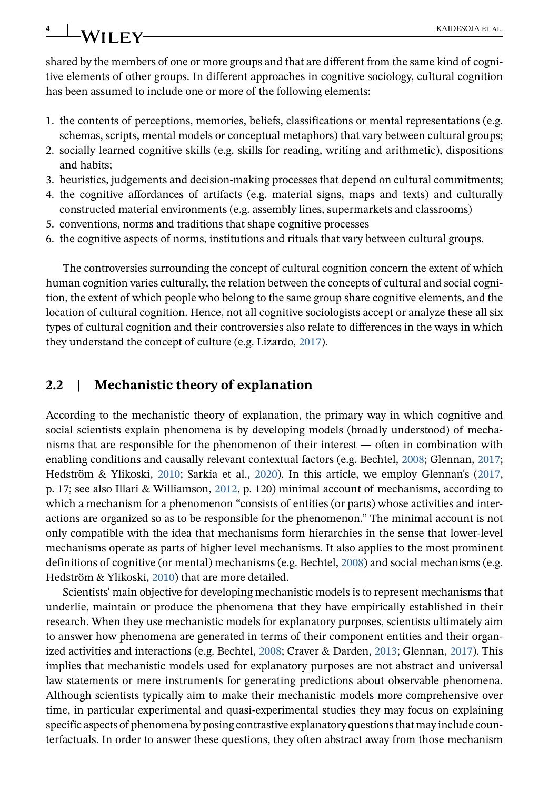shared by the members of one or more groups and that are different from the same kind of cognitive elements of other groups. In different approaches in cognitive sociology, cultural cognition has been assumed to include one or more of the following elements:

- 1. the contents of perceptions, memories, beliefs, classifications or mental representations (e.g. schemas, scripts, mental models or conceptual metaphors) that vary between cultural groups;
- 2. socially learned cognitive skills (e.g. skills for reading, writing and arithmetic), dispositions and habits;
- 3. heuristics, judgements and decision-making processes that depend on cultural commitments;
- 4. the cognitive affordances of artifacts (e.g. material signs, maps and texts) and culturally constructed material environments (e.g. assembly lines, supermarkets and classrooms)
- 5. conventions, norms and traditions that shape cognitive processes
- 6. the cognitive aspects of norms, institutions and rituals that vary between cultural groups.

The controversies surrounding the concept of cultural cognition concern the extent of which human cognition varies culturally, the relation between the concepts of cultural and social cognition, the extent of which people who belong to the same group share cognitive elements, and the location of cultural cognition. Hence, not all cognitive sociologists accept or analyze these all six types of cultural cognition and their controversies also relate to differences in the ways in which they understand the concept of culture (e.g. Lizardo, [2017\)](#page-18-1).

### **2.2 | Mechanistic theory of explanation**

According to the mechanistic theory of explanation, the primary way in which cognitive and social scientists explain phenomena is by developing models (broadly understood) of mechanisms that are responsible for the phenomenon of their interest — often in combination with enabling conditions and causally relevant contextual factors (e.g. Bechtel, [2008;](#page-17-4) Glennan, [2017;](#page-17-8) Hedström & Ylikoski, [2010](#page-18-2); Sarkia et al., [2020\)](#page-19-4). In this article, we employ Glennan's ([2017,](#page-17-8) p. 17; see also Illari & Williamson, [2012,](#page-18-3) p. 120) minimal account of mechanisms, according to which a mechanism for a phenomenon "consists of entities (or parts) whose activities and interactions are organized so as to be responsible for the phenomenon." The minimal account is not only compatible with the idea that mechanisms form hierarchies in the sense that lower-level mechanisms operate as parts of higher level mechanisms. It also applies to the most prominent definitions of cognitive (or mental) mechanisms (e.g. Bechtel, [2008](#page-17-4)) and social mechanisms (e.g. Hedström & Ylikoski, [2010](#page-18-2)) that are more detailed.

Scientists' main objective for developing mechanistic models is to represent mechanisms that underlie, maintain or produce the phenomena that they have empirically established in their research. When they use mechanistic models for explanatory purposes, scientists ultimately aim to answer how phenomena are generated in terms of their component entities and their organized activities and interactions (e.g. Bechtel, [2008;](#page-17-4) Craver & Darden, [2013;](#page-17-9) Glennan, [2017](#page-17-8)). This implies that mechanistic models used for explanatory purposes are not abstract and universal law statements or mere instruments for generating predictions about observable phenomena. Although scientists typically aim to make their mechanistic models more comprehensive over time, in particular experimental and quasi-experimental studies they may focus on explaining specific aspects of phenomena by posing contrastive explanatory questions that may include counterfactuals. In order to answer these questions, they often abstract away from those mechanism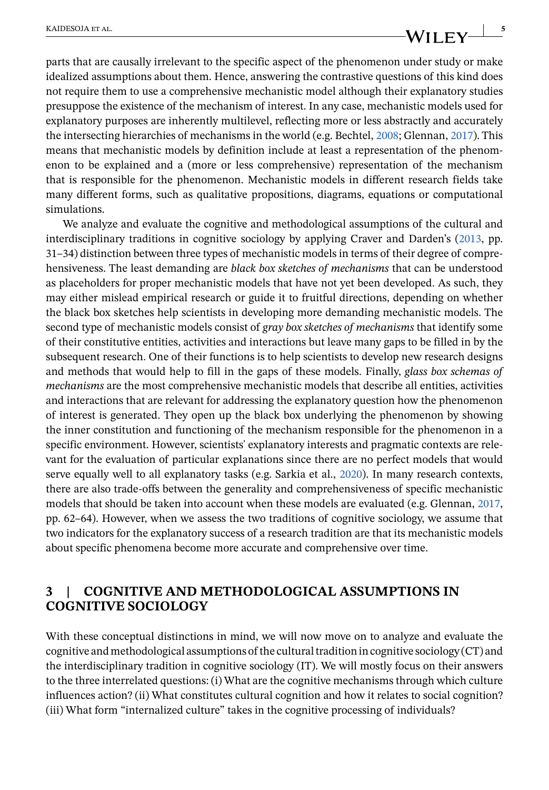## KAIDESOJA et al. **5**

parts that are causally irrelevant to the specific aspect of the phenomenon under study or make idealized assumptions about them. Hence, answering the contrastive questions of this kind does not require them to use a comprehensive mechanistic model although their explanatory studies presuppose the existence of the mechanism of interest. In any case, mechanistic models used for explanatory purposes are inherently multilevel, reflecting more or less abstractly and accurately the intersecting hierarchies of mechanisms in the world (e.g. Bechtel, [2008](#page-17-4); Glennan, [2017\)](#page-17-8). This means that mechanistic models by definition include at least a representation of the phenomenon to be explained and a (more or less comprehensive) representation of the mechanism that is responsible for the phenomenon. Mechanistic models in different research fields take many different forms, such as qualitative propositions, diagrams, equations or computational simulations.

We analyze and evaluate the cognitive and methodological assumptions of the cultural and interdisciplinary traditions in cognitive sociology by applying Craver and Darden's [\(2013](#page-17-9), pp. 31–34) distinction between three types of mechanistic models in terms of their degree of comprehensiveness. The least demanding are *black box sketches of mechanisms* that can be understood as placeholders for proper mechanistic models that have not yet been developed. As such, they may either mislead empirical research or guide it to fruitful directions, depending on whether the black box sketches help scientists in developing more demanding mechanistic models. The second type of mechanistic models consist of *gray box sketches of mechanisms* that identify some of their constitutive entities, activities and interactions but leave many gaps to be filled in by the subsequent research. One of their functions is to help scientists to develop new research designs and methods that would help to fill in the gaps of these models. Finally, *glass box schemas of mechanisms* are the most comprehensive mechanistic models that describe all entities, activities and interactions that are relevant for addressing the explanatory question how the phenomenon of interest is generated. They open up the black box underlying the phenomenon by showing the inner constitution and functioning of the mechanism responsible for the phenomenon in a specific environment. However, scientists' explanatory interests and pragmatic contexts are relevant for the evaluation of particular explanations since there are no perfect models that would serve equally well to all explanatory tasks (e.g. Sarkia et al., [2020\)](#page-19-4). In many research contexts, there are also trade-offs between the generality and comprehensiveness of specific mechanistic models that should be taken into account when these models are evaluated (e.g. Glennan, [2017,](#page-17-8) pp. 62–64). However, when we assess the two traditions of cognitive sociology, we assume that two indicators for the explanatory success of a research tradition are that its mechanistic models about specific phenomena become more accurate and comprehensive over time.

#### **3 | COGNITIVE AND METHODOLOGICAL ASSUMPTIONS IN COGNITIVE SOCIOLOGY**

With these conceptual distinctions in mind, we will now move on to analyze and evaluate the cognitive and methodological assumptions of the cultural tradition in cognitive sociology (CT) and the interdisciplinary tradition in cognitive sociology (IT). We will mostly focus on their answers to the three interrelated questions: (i) What are the cognitive mechanisms through which culture influences action? (ii) What constitutes cultural cognition and how it relates to social cognition? (iii) What form "internalized culture" takes in the cognitive processing of individuals?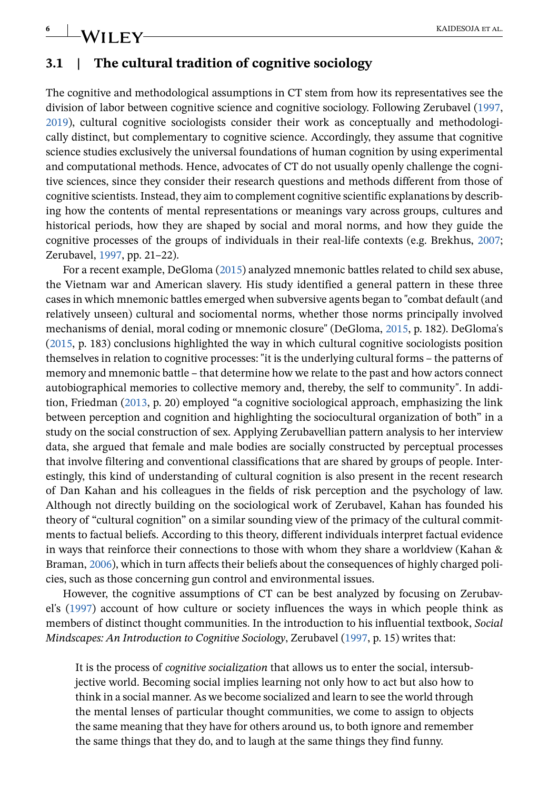### **3.1 | The cultural tradition of cognitive sociology**

The cognitive and methodological assumptions in CT stem from how its representatives see the division of labor between cognitive science and cognitive sociology. Following Zerubavel ([1997,](#page-19-1) [2019](#page-19-2)), cultural cognitive sociologists consider their work as conceptually and methodologically distinct, but complementary to cognitive science. Accordingly, they assume that cognitive science studies exclusively the universal foundations of human cognition by using experimental and computational methods. Hence, advocates of CT do not usually openly challenge the cognitive sciences, since they consider their research questions and methods different from those of cognitive scientists. Instead, they aim to complement cognitive scientific explanations by describing how the contents of mental representations or meanings vary across groups, cultures and historical periods, how they are shaped by social and moral norms, and how they guide the cognitive processes of the groups of individuals in their real-life contexts (e.g. Brekhus, [2007;](#page-17-0) Zerubavel, [1997](#page-19-1), pp. 21–22).

For a recent example, DeGloma [\(2015\)](#page-17-10) analyzed mnemonic battles related to child sex abuse, the Vietnam war and American slavery. His study identified a general pattern in these three cases in which mnemonic battles emerged when subversive agents began to "combat default (and relatively unseen) cultural and sociomental norms, whether those norms principally involved mechanisms of denial, moral coding or mnemonic closure" (DeGloma, [2015](#page-17-10), p. 182). DeGloma's ([2015,](#page-17-10) p. 183) conclusions highlighted the way in which cultural cognitive sociologists position themselves in relation to cognitive processes: "it is the underlying cultural forms – the patterns of memory and mnemonic battle – that determine how we relate to the past and how actors connect autobiographical memories to collective memory and, thereby, the self to community". In addition, Friedman [\(2013,](#page-17-11) p. 20) employed "a cognitive sociological approach, emphasizing the link between perception and cognition and highlighting the sociocultural organization of both" in a study on the social construction of sex. Applying Zerubavellian pattern analysis to her interview data, she argued that female and male bodies are socially constructed by perceptual processes that involve filtering and conventional classifications that are shared by groups of people. Interestingly, this kind of understanding of cultural cognition is also present in the recent research of Dan Kahan and his colleagues in the fields of risk perception and the psychology of law. Although not directly building on the sociological work of Zerubavel, Kahan has founded his theory of "cultural cognition" on a similar sounding view of the primacy of the cultural commitments to factual beliefs. According to this theory, different individuals interpret factual evidence in ways that reinforce their connections to those with whom they share a worldview (Kahan  $\&$ Braman, [2006\)](#page-18-4), which in turn affects their beliefs about the consequences of highly charged policies, such as those concerning gun control and environmental issues.

However, the cognitive assumptions of CT can be best analyzed by focusing on Zerubavel's [\(1997](#page-19-1)) account of how culture or society influences the ways in which people think as members of distinct thought communities. In the introduction to his influential textbook, *Social Mindscapes: An Introduction to Cognitive Sociology*, Zerubavel ([1997](#page-19-1), p. 15) writes that:

It is the process of *cognitive socialization* that allows us to enter the social, intersubjective world. Becoming social implies learning not only how to act but also how to think in a social manner. As we become socialized and learn to see the world through the mental lenses of particular thought communities, we come to assign to objects the same meaning that they have for others around us, to both ignore and remember the same things that they do, and to laugh at the same things they find funny.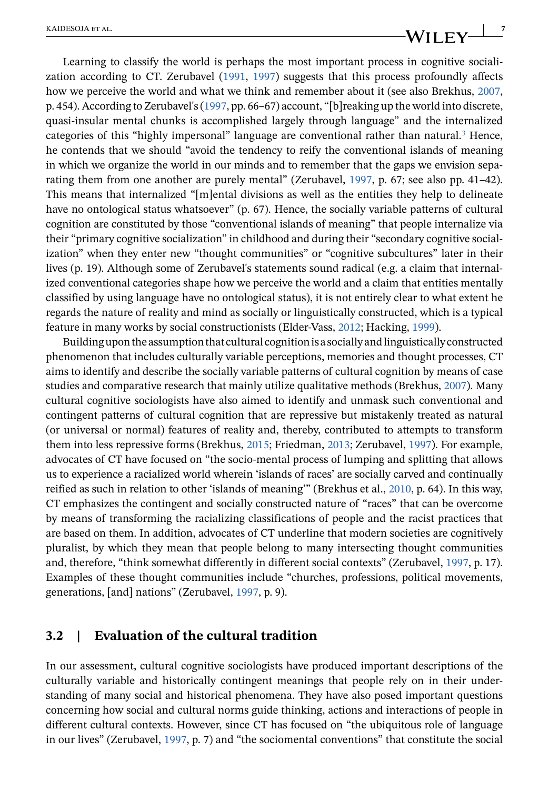## KAIDESOJA ET AL.  $\frac{7}{100}$

Learning to classify the world is perhaps the most important process in cognitive socialization according to CT. Zerubavel [\(1991,](#page-19-0) [1997](#page-19-0)) suggests that this process profoundly affects how we perceive the world and what we think and remember about it (see also Brekhus, [2007,](#page-17-0) p. 454). According to Zerubavel's [\(1997](#page-19-0), pp. 66–67) account, "[b]reaking up the world into discrete, quasi-insular mental chunks is accomplished largely through language" and the internalized categories of this "highly impersonal" language are conventional rather than natural. $3$  Hence, he contends that we should "avoid the tendency to reify the conventional islands of meaning in which we organize the world in our minds and to remember that the gaps we envision separating them from one another are purely mental" (Zerubavel, [1997](#page-19-1), p. 67; see also pp. 41–42). This means that internalized "[m]ental divisions as well as the entities they help to delineate have no ontological status whatsoever" (p. 67). Hence, the socially variable patterns of cultural cognition are constituted by those "conventional islands of meaning" that people internalize via their "primary cognitive socialization" in childhood and during their "secondary cognitive socialization" when they enter new "thought communities" or "cognitive subcultures" later in their lives (p. 19). Although some of Zerubavel's statements sound radical (e.g. a claim that internalized conventional categories shape how we perceive the world and a claim that entities mentally classified by using language have no ontological status), it is not entirely clear to what extent he regards the nature of reality and mind as socially or linguistically constructed, which is a typical feature in many works by social constructionists (Elder-Vass, [2012;](#page-17-13) Hacking, [1999](#page-17-14)).

Building upon the assumption that cultural cognition is a socially and linguistically constructed phenomenon that includes culturally variable perceptions, memories and thought processes, CT aims to identify and describe the socially variable patterns of cultural cognition by means of case studies and comparative research that mainly utilize qualitative methods (Brekhus, [2007\)](#page-17-0). Many cultural cognitive sociologists have also aimed to identify and unmask such conventional and contingent patterns of cultural cognition that are repressive but mistakenly treated as natural (or universal or normal) features of reality and, thereby, contributed to attempts to transform them into less repressive forms (Brekhus, [2015;](#page-17-1) Friedman, [2013](#page-17-11); Zerubavel, [1997\)](#page-19-1). For example, advocates of CT have focused on "the socio-mental process of lumping and splitting that allows us to experience a racialized world wherein 'islands of races' are socially carved and continually reified as such in relation to other 'islands of meaning'" (Brekhus et al., [2010](#page-17-15), p. 64). In this way, CT emphasizes the contingent and socially constructed nature of "races" that can be overcome by means of transforming the racializing classifications of people and the racist practices that are based on them. In addition, advocates of CT underline that modern societies are cognitively pluralist, by which they mean that people belong to many intersecting thought communities and, therefore, "think somewhat differently in different social contexts" (Zerubavel, [1997,](#page-19-1) p. 17). Examples of these thought communities include "churches, professions, political movements, generations, [and] nations" (Zerubavel, [1997](#page-19-1), p. 9).

#### **3.2 | Evaluation of the cultural tradition**

In our assessment, cultural cognitive sociologists have produced important descriptions of the culturally variable and historically contingent meanings that people rely on in their understanding of many social and historical phenomena. They have also posed important questions concerning how social and cultural norms guide thinking, actions and interactions of people in different cultural contexts. However, since CT has focused on "the ubiquitous role of language in our lives" (Zerubavel, [1997,](#page-19-1) p. 7) and "the sociomental conventions" that constitute the social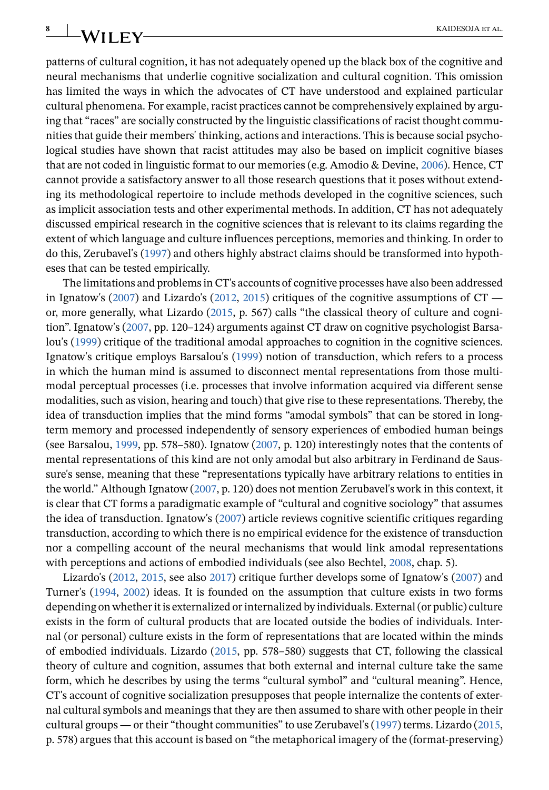patterns of cultural cognition, it has not adequately opened up the black box of the cognitive and neural mechanisms that underlie cognitive socialization and cultural cognition. This omission has limited the ways in which the advocates of CT have understood and explained particular cultural phenomena. For example, racist practices cannot be comprehensively explained by arguing that "races" are socially constructed by the linguistic classifications of racist thought communities that guide their members' thinking, actions and interactions. This is because social psychological studies have shown that racist attitudes may also be based on implicit cognitive biases that are not coded in linguistic format to our memories (e.g. Amodio & Devine, [2006\)](#page-17-16). Hence, CT cannot provide a satisfactory answer to all those research questions that it poses without extending its methodological repertoire to include methods developed in the cognitive sciences, such as implicit association tests and other experimental methods. In addition, CT has not adequately discussed empirical research in the cognitive sciences that is relevant to its claims regarding the extent of which language and culture influences perceptions, memories and thinking. In order to do this, Zerubavel's ([1997](#page-19-1)) and others highly abstract claims should be transformed into hypotheses that can be tested empirically.

The limitations and problems in CT's accounts of cognitive processes have also been addressed in Ignatow's [\(2007](#page-19-0)) and Lizardo's [\(2012,](#page-18-5) [2015](#page-18-6)) critiques of the cognitive assumptions of  $CT$ or, more generally, what Lizardo ([2015,](#page-19-0) p. 567) calls "the classical theory of culture and cognition". Ignatow's [\(2007](#page-19-0), pp. 120–124) arguments against CT draw on cognitive psychologist Barsalou's [\(1999\)](#page-19-0) critique of the traditional amodal approaches to cognition in the cognitive sciences. Ignatow's critique employs Barsalou's [\(1999](#page-17-17)) notion of transduction, which refers to a process in which the human mind is assumed to disconnect mental representations from those multimodal perceptual processes (i.e. processes that involve information acquired via different sense modalities, such as vision, hearing and touch) that give rise to these representations. Thereby, the idea of transduction implies that the mind forms "amodal symbols" that can be stored in longterm memory and processed independently of sensory experiences of embodied human beings (see Barsalou, [1999,](#page-17-17) pp. 578–580). Ignatow ([2007,](#page-19-0) p. 120) interestingly notes that the contents of mental representations of this kind are not only amodal but also arbitrary in Ferdinand de Saussure's sense, meaning that these "representations typically have arbitrary relations to entities in the world." Although Ignatow [\(2007](#page-19-0), p. 120) does not mention Zerubavel's work in this context, it is clear that CT forms a paradigmatic example of "cultural and cognitive sociology" that assumes the idea of transduction. Ignatow's ([2007](#page-18-7)) article reviews cognitive scientific critiques regarding transduction, according to which there is no empirical evidence for the existence of transduction nor a compelling account of the neural mechanisms that would link amodal representations with perceptions and actions of embodied individuals (see also Bechtel, [2008,](#page-17-4) chap. 5).

Lizardo's ([2012](#page-19-0), [2015](#page-19-0), see also [2017\)](#page-19-0) critique further develops some of Ignatow's [\(2007](#page-18-7)) and Turner's ([1994,](#page-19-7) [2002\)](#page-19-8) ideas. It is founded on the assumption that culture exists in two forms depending on whether it is externalized or internalized by individuals. External (or public) culture exists in the form of cultural products that are located outside the bodies of individuals. Internal (or personal) culture exists in the form of representations that are located within the minds of embodied individuals. Lizardo ([2015](#page-19-0), pp. 578–580) suggests that CT, following the classical theory of culture and cognition, assumes that both external and internal culture take the same form, which he describes by using the terms "cultural symbol" and "cultural meaning". Hence, CT's account of cognitive socialization presupposes that people internalize the contents of external cultural symbols and meanings that they are then assumed to share with other people in their cultural groups — or their "thought communities" to use Zerubavel's [\(1997\)](#page-19-1) terms. Lizardo ([2015,](#page-19-0) p. 578) argues that this account is based on "the metaphorical imagery of the (format-preserving)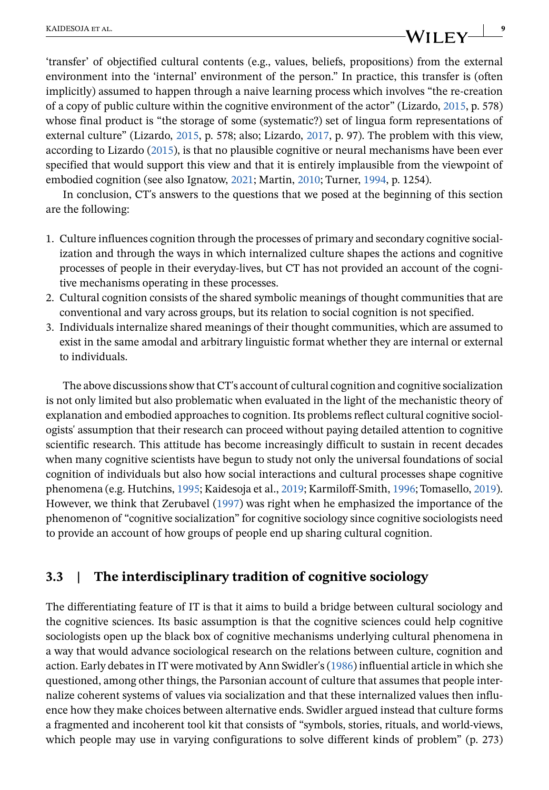## KAIDESOJA ET AL. **1990 - Participal Et al.** 1990 - Participal Property Control Control Control Control Control Control Control Control Control Control Control Control Control Control Control Control Control Control Control

'transfer' of objectified cultural contents (e.g., values, beliefs, propositions) from the external environment into the 'internal' environment of the person." In practice, this transfer is (often implicitly) assumed to happen through a naive learning process which involves "the re-creation of a copy of public culture within the cognitive environment of the actor" (Lizardo, [2015](#page-18-6), p. 578) whose final product is "the storage of some (systematic?) set of lingua form representations of external culture" (Lizardo, [2015,](#page-18-6) p. 578; also; Lizardo, [2017,](#page-18-1) p. 97). The problem with this view, according to Lizardo [\(2015](#page-18-6)), is that no plausible cognitive or neural mechanisms have been ever specified that would support this view and that it is entirely implausible from the viewpoint of embodied cognition (see also Ignatow, [2021;](#page-18-8) Martin, [2010;](#page-18-9) Turner, [1994,](#page-19-7) p. 1254).

In conclusion, CT's answers to the questions that we posed at the beginning of this section are the following:

- 1. Culture influences cognition through the processes of primary and secondary cognitive socialization and through the ways in which internalized culture shapes the actions and cognitive processes of people in their everyday-lives, but CT has not provided an account of the cognitive mechanisms operating in these processes.
- 2. Cultural cognition consists of the shared symbolic meanings of thought communities that are conventional and vary across groups, but its relation to social cognition is not specified.
- 3. Individuals internalize shared meanings of their thought communities, which are assumed to exist in the same amodal and arbitrary linguistic format whether they are internal or external to individuals.

The above discussions show that CT's account of cultural cognition and cognitive socialization is not only limited but also problematic when evaluated in the light of the mechanistic theory of explanation and embodied approaches to cognition. Its problems reflect cultural cognitive sociologists' assumption that their research can proceed without paying detailed attention to cognitive scientific research. This attitude has become increasingly difficult to sustain in recent decades when many cognitive scientists have begun to study not only the universal foundations of social cognition of individuals but also how social interactions and cultural processes shape cognitive phenomena (e.g. Hutchins, [1995](#page-18-0); Kaidesoja et al., [2019](#page-18-10); Karmiloff-Smith, [1996;](#page-18-11) Tomasello, [2019](#page-19-9)). However, we think that Zerubavel ([1997](#page-19-1)) was right when he emphasized the importance of the phenomenon of "cognitive socialization" for cognitive sociology since cognitive sociologists need to provide an account of how groups of people end up sharing cultural cognition.

#### **3.3 | The interdisciplinary tradition of cognitive sociology**

The differentiating feature of IT is that it aims to build a bridge between cultural sociology and the cognitive sciences. Its basic assumption is that the cognitive sciences could help cognitive sociologists open up the black box of cognitive mechanisms underlying cultural phenomena in a way that would advance sociological research on the relations between culture, cognition and action. Early debates in IT were motivated by Ann Swidler's [\(1986\)](#page-19-10) influential article in which she questioned, among other things, the Parsonian account of culture that assumes that people internalize coherent systems of values via socialization and that these internalized values then influence how they make choices between alternative ends. Swidler argued instead that culture forms a fragmented and incoherent tool kit that consists of "symbols, stories, rituals, and world-views, which people may use in varying configurations to solve different kinds of problem" (p. 273)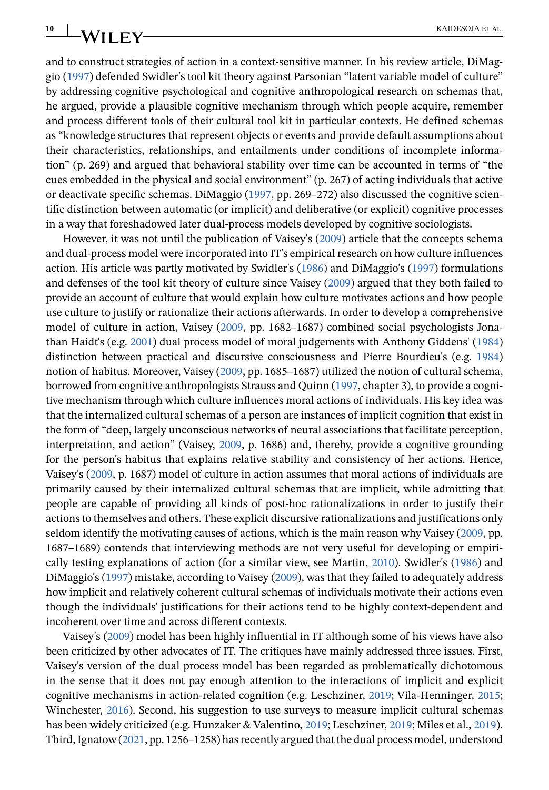and to construct strategies of action in a context-sensitive manner. In his review article, DiMaggio [\(1997\)](#page-17-2) defended Swidler's tool kit theory against Parsonian "latent variable model of culture" by addressing cognitive psychological and cognitive anthropological research on schemas that, he argued, provide a plausible cognitive mechanism through which people acquire, remember and process different tools of their cultural tool kit in particular contexts. He defined schemas as "knowledge structures that represent objects or events and provide default assumptions about their characteristics, relationships, and entailments under conditions of incomplete information" (p. 269) and argued that behavioral stability over time can be accounted in terms of "the cues embedded in the physical and social environment" (p. 267) of acting individuals that active or deactivate specific schemas. DiMaggio ([1997](#page-19-0), pp. 269–272) also discussed the cognitive scientific distinction between automatic (or implicit) and deliberative (or explicit) cognitive processes in a way that foreshadowed later dual-process models developed by cognitive sociologists.

However, it was not until the publication of Vaisey's [\(2009\)](#page-19-11) article that the concepts schema and dual-process model were incorporated into IT's empirical research on how culture influences action. His article was partly motivated by Swidler's ([1986\)](#page-19-10) and DiMaggio's ([1997](#page-17-2)) formulations and defenses of the tool kit theory of culture since Vaisey ([2009\)](#page-19-11) argued that they both failed to provide an account of culture that would explain how culture motivates actions and how people use culture to justify or rationalize their actions afterwards. In order to develop a comprehensive model of culture in action, Vaisey ([2009,](#page-19-0) pp. 1682–1687) combined social psychologists Jonathan Haidt's (e.g. [2001\)](#page-18-12) dual process model of moral judgements with Anthony Giddens' ([1984\)](#page-17-18) distinction between practical and discursive consciousness and Pierre Bourdieu's (e.g. [1984\)](#page-17-19) notion of habitus. Moreover, Vaisey [\(2009](#page-19-0), pp. 1685–1687) utilized the notion of cultural schema, borrowed from cognitive anthropologists Strauss and Quinn [\(1997](#page-19-12), chapter 3), to provide a cognitive mechanism through which culture influences moral actions of individuals. His key idea was that the internalized cultural schemas of a person are instances of implicit cognition that exist in the form of "deep, largely unconscious networks of neural associations that facilitate perception, interpretation, and action" (Vaisey, [2009](#page-19-11), p. 1686) and, thereby, provide a cognitive grounding for the person's habitus that explains relative stability and consistency of her actions. Hence, Vaisey's ([2009](#page-19-0), p. 1687) model of culture in action assumes that moral actions of individuals are primarily caused by their internalized cultural schemas that are implicit, while admitting that people are capable of providing all kinds of post-hoc rationalizations in order to justify their actions to themselves and others. These explicit discursive rationalizations and justifications only seldom identify the motivating causes of actions, which is the main reason why Vaisey ([2009,](#page-19-0) pp. 1687–1689) contends that interviewing methods are not very useful for developing or empirically testing explanations of action (for a similar view, see Martin, [2010](#page-18-9)). Swidler's ([1986\)](#page-19-10) and DiMaggio's [\(1997](#page-17-2)) mistake, according to Vaisey ([2009\)](#page-19-11), was that they failed to adequately address how implicit and relatively coherent cultural schemas of individuals motivate their actions even though the individuals' justifications for their actions tend to be highly context-dependent and incoherent over time and across different contexts.

Vaisey's ([2009\)](#page-19-11) model has been highly influential in IT although some of his views have also been criticized by other advocates of IT. The critiques have mainly addressed three issues. First, Vaisey's version of the dual process model has been regarded as problematically dichotomous in the sense that it does not pay enough attention to the interactions of implicit and explicit cognitive mechanisms in action-related cognition (e.g. Leschziner, [2019;](#page-18-13) Vila-Henninger, [2015;](#page-19-13) Winchester, [2016\)](#page-19-14). Second, his suggestion to use surveys to measure implicit cultural schemas has been widely criticized (e.g. Hunzaker & Valentino, [2019](#page-18-14); Leschziner, [2019;](#page-18-13) Miles et al., [2019](#page-18-15)). Third, Ignatow [\(2021,](#page-19-0) pp. 1256–1258) has recently argued that the dual process model, understood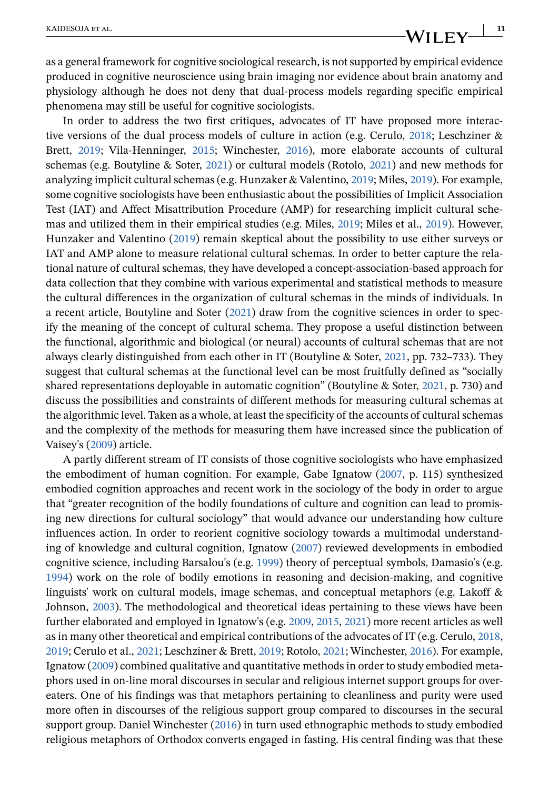as a general framework for cognitive sociological research, is not supported by empirical evidence produced in cognitive neuroscience using brain imaging nor evidence about brain anatomy and physiology although he does not deny that dual-process models regarding specific empirical

phenomena may still be useful for cognitive sociologists.

In order to address the two first critiques, advocates of IT have proposed more interactive versions of the dual process models of culture in action (e.g. Cerulo, [2018](#page-17-20); Leschziner & Brett, [2019;](#page-18-16) Vila-Henninger, [2015;](#page-19-13) Winchester, [2016](#page-19-14)), more elaborate accounts of cultural schemas (e.g. Boutyline & Soter, [2021\)](#page-17-21) or cultural models (Rotolo, [2021](#page-19-15)) and new methods for analyzing implicit cultural schemas (e.g. Hunzaker & Valentino, [2019;](#page-18-14) Miles, [2019](#page-18-17)). For example, some cognitive sociologists have been enthusiastic about the possibilities of Implicit Association Test (IAT) and Affect Misattribution Procedure (AMP) for researching implicit cultural schemas and utilized them in their empirical studies (e.g. Miles, [2019](#page-18-17); Miles et al., [2019](#page-18-15)). However, Hunzaker and Valentino ([2019\)](#page-18-14) remain skeptical about the possibility to use either surveys or IAT and AMP alone to measure relational cultural schemas. In order to better capture the relational nature of cultural schemas, they have developed a concept-association-based approach for data collection that they combine with various experimental and statistical methods to measure the cultural differences in the organization of cultural schemas in the minds of individuals. In a recent article, Boutyline and Soter [\(2021](#page-17-21)) draw from the cognitive sciences in order to specify the meaning of the concept of cultural schema. They propose a useful distinction between the functional, algorithmic and biological (or neural) accounts of cultural schemas that are not always clearly distinguished from each other in IT (Boutyline & Soter, [2021](#page-17-21), pp. 732–733). They suggest that cultural schemas at the functional level can be most fruitfully defined as "socially shared representations deployable in automatic cognition" (Boutyline & Soter, [2021](#page-17-21), p. 730) and discuss the possibilities and constraints of different methods for measuring cultural schemas at the algorithmic level. Taken as a whole, at least the specificity of the accounts of cultural schemas and the complexity of the methods for measuring them have increased since the publication of Vaisey's ([2009\)](#page-19-11) article.

A partly different stream of IT consists of those cognitive sociologists who have emphasized the embodiment of human cognition. For example, Gabe Ignatow [\(2007](#page-19-0), p. 115) synthesized embodied cognition approaches and recent work in the sociology of the body in order to argue that "greater recognition of the bodily foundations of culture and cognition can lead to promising new directions for cultural sociology" that would advance our understanding how culture influences action. In order to reorient cognitive sociology towards a multimodal understanding of knowledge and cultural cognition, Ignatow ([2007\)](#page-18-7) reviewed developments in embodied cognitive science, including Barsalou's (e.g. [1999](#page-19-0)) theory of perceptual symbols, Damasio's (e.g. [1994](#page-17-22)) work on the role of bodily emotions in reasoning and decision-making, and cognitive linguists' work on cultural models, image schemas, and conceptual metaphors (e.g. Lakoff & Johnson, [2003\)](#page-18-18). The methodological and theoretical ideas pertaining to these views have been further elaborated and employed in Ignatow's (e.g. [2009,](#page-19-0) [2015](#page-19-0), [2021\)](#page-19-0) more recent articles as well as in many other theoretical and empirical contributions of the advocates of IT (e.g. Cerulo, [2018,](#page-17-20) [2019](#page-17-23); Cerulo et al., [2021;](#page-17-6) Leschziner & Brett, [2019](#page-18-16); Rotolo, [2021](#page-19-15); Winchester, [2016\)](#page-19-14). For example, Ignatow ([2009\)](#page-18-19) combined qualitative and quantitative methods in order to study embodied metaphors used in on-line moral discourses in secular and religious internet support groups for overeaters. One of his findings was that metaphors pertaining to cleanliness and purity were used more often in discourses of the religious support group compared to discourses in the secural support group. Daniel Winchester ([2016](#page-19-14)) in turn used ethnographic methods to study embodied religious metaphors of Orthodox converts engaged in fasting. His central finding was that these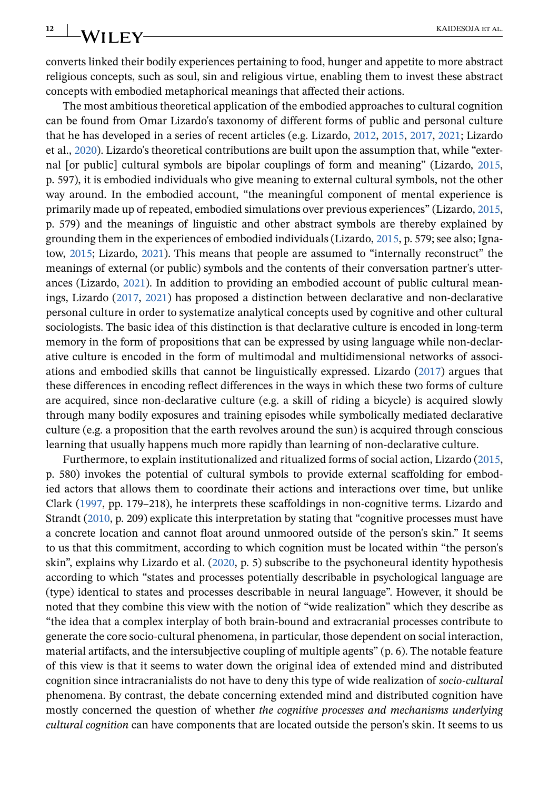converts linked their bodily experiences pertaining to food, hunger and appetite to more abstract religious concepts, such as soul, sin and religious virtue, enabling them to invest these abstract concepts with embodied metaphorical meanings that affected their actions.

The most ambitious theoretical application of the embodied approaches to cultural cognition can be found from Omar Lizardo's taxonomy of different forms of public and personal culture that he has developed in a series of recent articles (e.g. Lizardo, [2012](#page-18-5), [2015,](#page-18-6) [2017,](#page-18-1) [2021;](#page-18-20) Lizardo et al., [2020\)](#page-18-21). Lizardo's theoretical contributions are built upon the assumption that, while "external [or public] cultural symbols are bipolar couplings of form and meaning" (Lizardo, [2015,](#page-18-6) p. 597), it is embodied individuals who give meaning to external cultural symbols, not the other way around. In the embodied account, "the meaningful component of mental experience is primarily made up of repeated, embodied simulations over previous experiences" (Lizardo, [2015,](#page-18-6) p. 579) and the meanings of linguistic and other abstract symbols are thereby explained by grounding them in the experiences of embodied individuals (Lizardo, [2015](#page-18-6), p. 579; see also; Ignatow, [2015](#page-18-22); Lizardo, [2021\)](#page-18-20). This means that people are assumed to "internally reconstruct" the meanings of external (or public) symbols and the contents of their conversation partner's utterances (Lizardo, [2021\)](#page-18-20). In addition to providing an embodied account of public cultural meanings, Lizardo ([2017](#page-19-0), [2021\)](#page-19-0) has proposed a distinction between declarative and non-declarative personal culture in order to systematize analytical concepts used by cognitive and other cultural sociologists. The basic idea of this distinction is that declarative culture is encoded in long-term memory in the form of propositions that can be expressed by using language while non-declarative culture is encoded in the form of multimodal and multidimensional networks of associations and embodied skills that cannot be linguistically expressed. Lizardo ([2017](#page-18-1)) argues that these differences in encoding reflect differences in the ways in which these two forms of culture are acquired, since non-declarative culture (e.g. a skill of riding a bicycle) is acquired slowly through many bodily exposures and training episodes while symbolically mediated declarative culture (e.g. a proposition that the earth revolves around the sun) is acquired through conscious learning that usually happens much more rapidly than learning of non-declarative culture.

Furthermore, to explain institutionalized and ritualized forms of social action, Lizardo ([2015,](#page-19-0) p. 580) invokes the potential of cultural symbols to provide external scaffolding for embodied actors that allows them to coordinate their actions and interactions over time, but unlike Clark [\(1997](#page-19-0), pp. 179–218), he interprets these scaffoldings in non-cognitive terms. Lizardo and Strandt [\(2010](#page-18-23), p. 209) explicate this interpretation by stating that "cognitive processes must have a concrete location and cannot float around unmoored outside of the person's skin." It seems to us that this commitment, according to which cognition must be located within "the person's skin", explains why Lizardo et al. [\(2020](#page-19-0), p. 5) subscribe to the psychoneural identity hypothesis according to which "states and processes potentially describable in psychological language are (type) identical to states and processes describable in neural language". However, it should be noted that they combine this view with the notion of "wide realization" which they describe as "the idea that a complex interplay of both brain-bound and extracranial processes contribute to generate the core socio-cultural phenomena, in particular, those dependent on social interaction, material artifacts, and the intersubjective coupling of multiple agents" (p. 6). The notable feature of this view is that it seems to water down the original idea of extended mind and distributed cognition since intracranialists do not have to deny this type of wide realization of *socio-cultural* phenomena. By contrast, the debate concerning extended mind and distributed cognition have mostly concerned the question of whether *the cognitive processes and mechanisms underlying cultural cognition* can have components that are located outside the person's skin. It seems to us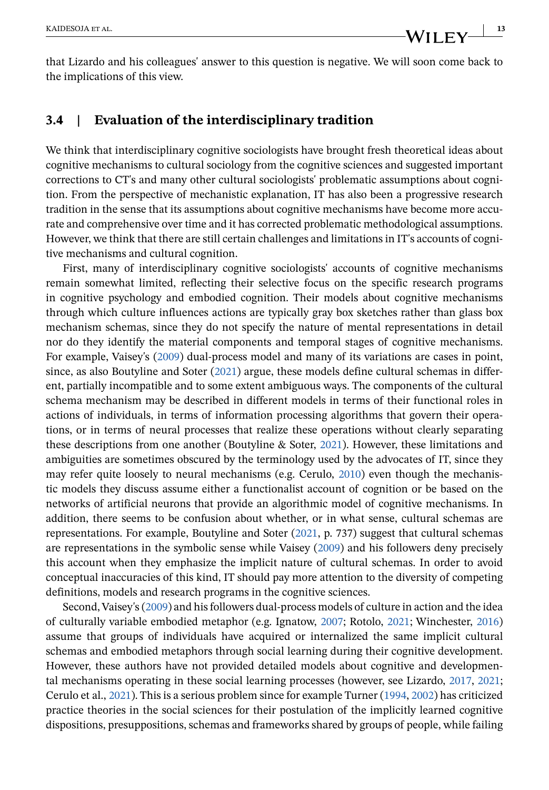KAIDESOJA ET AL.  $\frac{13}{2}$ 

that Lizardo and his colleagues' answer to this question is negative. We will soon come back to the implications of this view.

#### **3.4 | Evaluation of the interdisciplinary tradition**

We think that interdisciplinary cognitive sociologists have brought fresh theoretical ideas about cognitive mechanisms to cultural sociology from the cognitive sciences and suggested important corrections to CT's and many other cultural sociologists' problematic assumptions about cognition. From the perspective of mechanistic explanation, IT has also been a progressive research tradition in the sense that its assumptions about cognitive mechanisms have become more accurate and comprehensive over time and it has corrected problematic methodological assumptions. However, we think that there are still certain challenges and limitations in IT's accounts of cognitive mechanisms and cultural cognition.

First, many of interdisciplinary cognitive sociologists' accounts of cognitive mechanisms remain somewhat limited, reflecting their selective focus on the specific research programs in cognitive psychology and embodied cognition. Their models about cognitive mechanisms through which culture influences actions are typically gray box sketches rather than glass box mechanism schemas, since they do not specify the nature of mental representations in detail nor do they identify the material components and temporal stages of cognitive mechanisms. For example, Vaisey's ([2009\)](#page-19-11) dual-process model and many of its variations are cases in point, since, as also Boutyline and Soter [\(2021](#page-17-21)) argue, these models define cultural schemas in different, partially incompatible and to some extent ambiguous ways. The components of the cultural schema mechanism may be described in different models in terms of their functional roles in actions of individuals, in terms of information processing algorithms that govern their operations, or in terms of neural processes that realize these operations without clearly separating these descriptions from one another (Boutyline & Soter, [2021](#page-17-21)). However, these limitations and ambiguities are sometimes obscured by the terminology used by the advocates of IT, since they may refer quite loosely to neural mechanisms (e.g. Cerulo, [2010\)](#page-17-24) even though the mechanistic models they discuss assume either a functionalist account of cognition or be based on the networks of artificial neurons that provide an algorithmic model of cognitive mechanisms. In addition, there seems to be confusion about whether, or in what sense, cultural schemas are representations. For example, Boutyline and Soter ([2021,](#page-19-0) p. 737) suggest that cultural schemas are representations in the symbolic sense while Vaisey ([2009](#page-19-11)) and his followers deny precisely this account when they emphasize the implicit nature of cultural schemas. In order to avoid conceptual inaccuracies of this kind, IT should pay more attention to the diversity of competing definitions, models and research programs in the cognitive sciences.

Second, Vaisey's ([2009](#page-19-11)) and his followers dual-process models of culture in action and the idea of culturally variable embodied metaphor (e.g. Ignatow, [2007](#page-18-7); Rotolo, [2021;](#page-19-15) Winchester, [2016\)](#page-19-14) assume that groups of individuals have acquired or internalized the same implicit cultural schemas and embodied metaphors through social learning during their cognitive development. However, these authors have not provided detailed models about cognitive and developmental mechanisms operating in these social learning processes (however, see Lizardo, [2017,](#page-18-1) [2021;](#page-18-20) Cerulo et al., [2021\)](#page-17-6). This is a serious problem since for example Turner [\(1994, 2002](#page-19-0)) has criticized practice theories in the social sciences for their postulation of the implicitly learned cognitive dispositions, presuppositions, schemas and frameworks shared by groups of people, while failing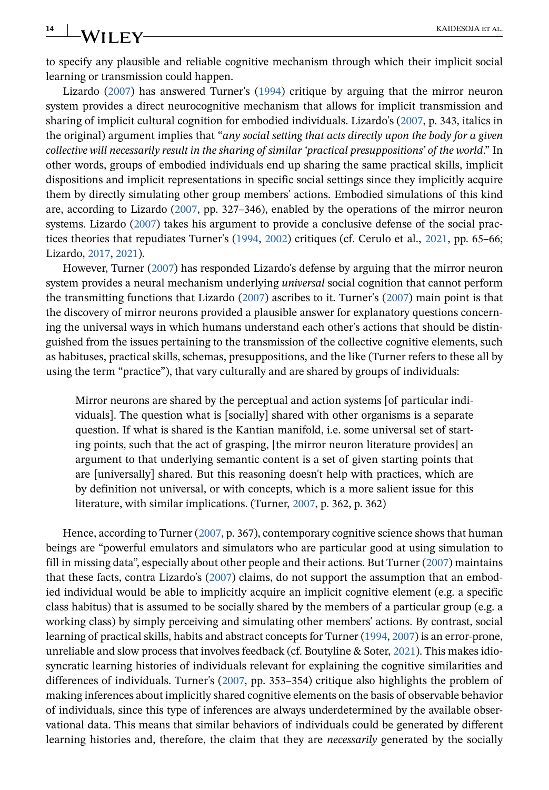**14 WII FY** KAIDESOJA ET AL.

to specify any plausible and reliable cognitive mechanism through which their implicit social learning or transmission could happen.

Lizardo ([2007](#page-18-24)) has answered Turner's [\(1994](#page-19-7)) critique by arguing that the mirror neuron system provides a direct neurocognitive mechanism that allows for implicit transmission and sharing of implicit cultural cognition for embodied individuals. Lizardo's ([2007,](#page-19-0) p. 343, italics in the original) argument implies that "*any social setting that acts directly upon the body for a given collective will necessarily result in the sharing of similar 'practical presuppositions' of the world*." In other words, groups of embodied individuals end up sharing the same practical skills, implicit dispositions and implicit representations in specific social settings since they implicitly acquire them by directly simulating other group members' actions. Embodied simulations of this kind are, according to Lizardo [\(2007](#page-19-0), pp. 327–346), enabled by the operations of the mirror neuron systems. Lizardo [\(2007\)](#page-18-24) takes his argument to provide a conclusive defense of the social practices theories that repudiates Turner's ([1994](#page-19-0), [2002\)](#page-19-0) critiques (cf. Cerulo et al., [2021](#page-17-6), pp. 65–66; Lizardo, [2017](#page-18-1), [2021](#page-18-20)).

However, Turner ([2007\)](#page-19-16) has responded Lizardo's defense by arguing that the mirror neuron system provides a neural mechanism underlying *universal* social cognition that cannot perform the transmitting functions that Lizardo ([2007\)](#page-18-24) ascribes to it. Turner's [\(2007\)](#page-19-16) main point is that the discovery of mirror neurons provided a plausible answer for explanatory questions concerning the universal ways in which humans understand each other's actions that should be distinguished from the issues pertaining to the transmission of the collective cognitive elements, such as habituses, practical skills, schemas, presuppositions, and the like (Turner refers to these all by using the term "practice"), that vary culturally and are shared by groups of individuals:

Mirror neurons are shared by the perceptual and action systems [of particular individuals]. The question what is [socially] shared with other organisms is a separate question. If what is shared is the Kantian manifold, i.e. some universal set of starting points, such that the act of grasping, [the mirror neuron literature provides] an argument to that underlying semantic content is a set of given starting points that are [universally] shared. But this reasoning doesn't help with practices, which are by definition not universal, or with concepts, which is a more salient issue for this literature, with similar implications. (Turner, [2007](#page-19-16), p. 362, p. 362)

Hence, according to Turner ([2007](#page-19-0), p. 367), contemporary cognitive science shows that human beings are "powerful emulators and simulators who are particular good at using simulation to fill in missing data", especially about other people and their actions. But Turner [\(2007](#page-19-16)) maintains that these facts, contra Lizardo's ([2007\)](#page-18-24) claims, do not support the assumption that an embodied individual would be able to implicitly acquire an implicit cognitive element (e.g. a specific class habitus) that is assumed to be socially shared by the members of a particular group (e.g. a working class) by simply perceiving and simulating other members' actions. By contrast, social learning of practical skills, habits and abstract concepts for Turner [\(1994,](#page-19-7) [2007](#page-19-16)) is an error-prone, unreliable and slow process that involves feedback (cf. Boutyline & Soter, [2021](#page-17-21)). This makes idiosyncratic learning histories of individuals relevant for explaining the cognitive similarities and differences of individuals. Turner's [\(2007,](#page-19-0) pp. 353–354) critique also highlights the problem of making inferences about implicitly shared cognitive elements on the basis of observable behavior of individuals, since this type of inferences are always underdetermined by the available observational data. This means that similar behaviors of individuals could be generated by different learning histories and, therefore, the claim that they are *necessarily* generated by the socially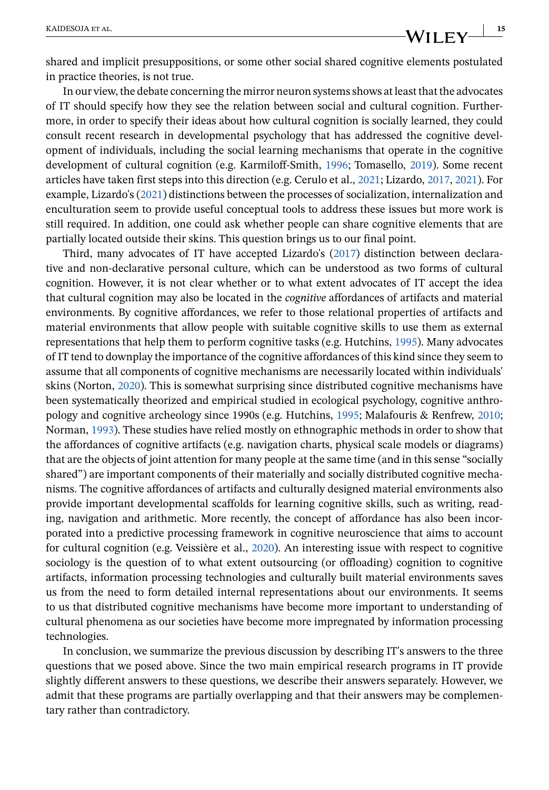shared and implicit presuppositions, or some other social shared cognitive elements postulated in practice theories, is not true.

In our view, the debate concerning the mirror neuron systems shows at least that the advocates of IT should specify how they see the relation between social and cultural cognition. Furthermore, in order to specify their ideas about how cultural cognition is socially learned, they could consult recent research in developmental psychology that has addressed the cognitive development of individuals, including the social learning mechanisms that operate in the cognitive development of cultural cognition (e.g. Karmiloff-Smith, [1996](#page-18-11); Tomasello, [2019\)](#page-19-9). Some recent articles have taken first steps into this direction (e.g. Cerulo et al., [2021;](#page-17-6) Lizardo, [2017](#page-18-1), [2021\)](#page-18-20). For example, Lizardo's ([2021\)](#page-18-20) distinctions between the processes of socialization, internalization and enculturation seem to provide useful conceptual tools to address these issues but more work is still required. In addition, one could ask whether people can share cognitive elements that are partially located outside their skins. This question brings us to our final point.

Third, many advocates of IT have accepted Lizardo's ([2017](#page-18-1)) distinction between declarative and non-declarative personal culture, which can be understood as two forms of cultural cognition. However, it is not clear whether or to what extent advocates of IT accept the idea that cultural cognition may also be located in the *cognitive* affordances of artifacts and material environments. By cognitive affordances, we refer to those relational properties of artifacts and material environments that allow people with suitable cognitive skills to use them as external representations that help them to perform cognitive tasks (e.g. Hutchins, [1995](#page-18-0)). Many advocates of IT tend to downplay the importance of the cognitive affordances of this kind since they seem to assume that all components of cognitive mechanisms are necessarily located within individuals' skins (Norton, [2020\)](#page-19-17). This is somewhat surprising since distributed cognitive mechanisms have been systematically theorized and empirical studied in ecological psychology, cognitive anthropology and cognitive archeology since 1990s (e.g. Hutchins, [1995](#page-18-0); Malafouris & Renfrew, [2010;](#page-18-25) Norman, [1993\)](#page-18-26). These studies have relied mostly on ethnographic methods in order to show that the affordances of cognitive artifacts (e.g. navigation charts, physical scale models or diagrams) that are the objects of joint attention for many people at the same time (and in this sense "socially shared") are important components of their materially and socially distributed cognitive mechanisms. The cognitive affordances of artifacts and culturally designed material environments also provide important developmental scaffolds for learning cognitive skills, such as writing, reading, navigation and arithmetic. More recently, the concept of affordance has also been incorporated into a predictive processing framework in cognitive neuroscience that aims to account for cultural cognition (e.g. Veissière et al., [2020](#page-19-6)). An interesting issue with respect to cognitive sociology is the question of to what extent outsourcing (or offloading) cognition to cognitive artifacts, information processing technologies and culturally built material environments saves us from the need to form detailed internal representations about our environments. It seems to us that distributed cognitive mechanisms have become more important to understanding of cultural phenomena as our societies have become more impregnated by information processing technologies.

In conclusion, we summarize the previous discussion by describing IT's answers to the three questions that we posed above. Since the two main empirical research programs in IT provide slightly different answers to these questions, we describe their answers separately. However, we admit that these programs are partially overlapping and that their answers may be complementary rather than contradictory.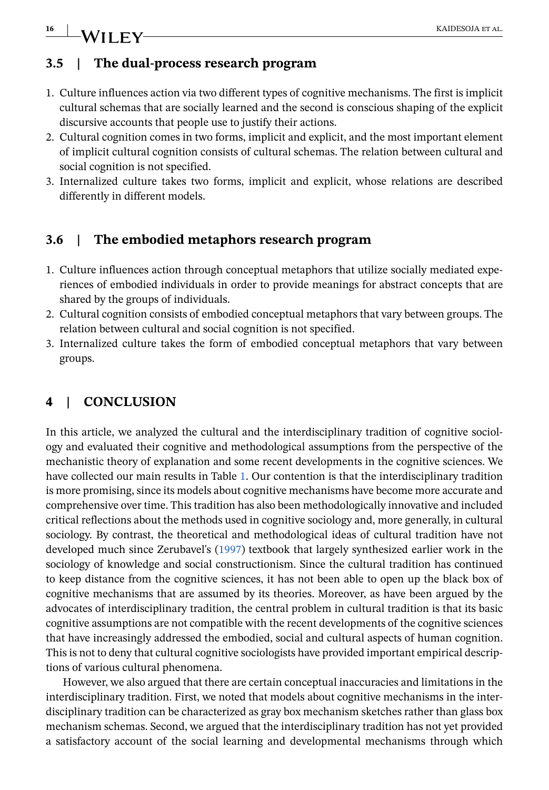**16 WII FV KAIDESOJA ET AL.** 

### **3.5 | The dual-process research program**

- 1. Culture influences action via two different types of cognitive mechanisms. The first is implicit cultural schemas that are socially learned and the second is conscious shaping of the explicit discursive accounts that people use to justify their actions.
- 2. Cultural cognition comes in two forms, implicit and explicit, and the most important element of implicit cultural cognition consists of cultural schemas. The relation between cultural and social cognition is not specified.
- 3. Internalized culture takes two forms, implicit and explicit, whose relations are described differently in different models.

#### **3.6 | The embodied metaphors research program**

- 1. Culture influences action through conceptual metaphors that utilize socially mediated experiences of embodied individuals in order to provide meanings for abstract concepts that are shared by the groups of individuals.
- 2. Cultural cognition consists of embodied conceptual metaphors that vary between groups. The relation between cultural and social cognition is not specified.
- 3. Internalized culture takes the form of embodied conceptual metaphors that vary between groups.

#### **4 | CONCLUSION**

In this article, we analyzed the cultural and the interdisciplinary tradition of cognitive sociology and evaluated their cognitive and methodological assumptions from the perspective of the mechanistic theory of explanation and some recent developments in the cognitive sciences. We have collected our main results in Table [1](#page-16-1). Our contention is that the interdisciplinary tradition is more promising, since its models about cognitive mechanisms have become more accurate and comprehensive over time. This tradition has also been methodologically innovative and included critical reflections about the methods used in cognitive sociology and, more generally, in cultural sociology. By contrast, the theoretical and methodological ideas of cultural tradition have not developed much since Zerubavel's [\(1997](#page-19-1)) textbook that largely synthesized earlier work in the sociology of knowledge and social constructionism. Since the cultural tradition has continued to keep distance from the cognitive sciences, it has not been able to open up the black box of cognitive mechanisms that are assumed by its theories. Moreover, as have been argued by the advocates of interdisciplinary tradition, the central problem in cultural tradition is that its basic cognitive assumptions are not compatible with the recent developments of the cognitive sciences that have increasingly addressed the embodied, social and cultural aspects of human cognition. This is not to deny that cultural cognitive sociologists have provided important empirical descriptions of various cultural phenomena.

However, we also argued that there are certain conceptual inaccuracies and limitations in the interdisciplinary tradition. First, we noted that models about cognitive mechanisms in the interdisciplinary tradition can be characterized as gray box mechanism sketches rather than glass box mechanism schemas. Second, we argued that the interdisciplinary tradition has not yet provided a satisfactory account of the social learning and developmental mechanisms through which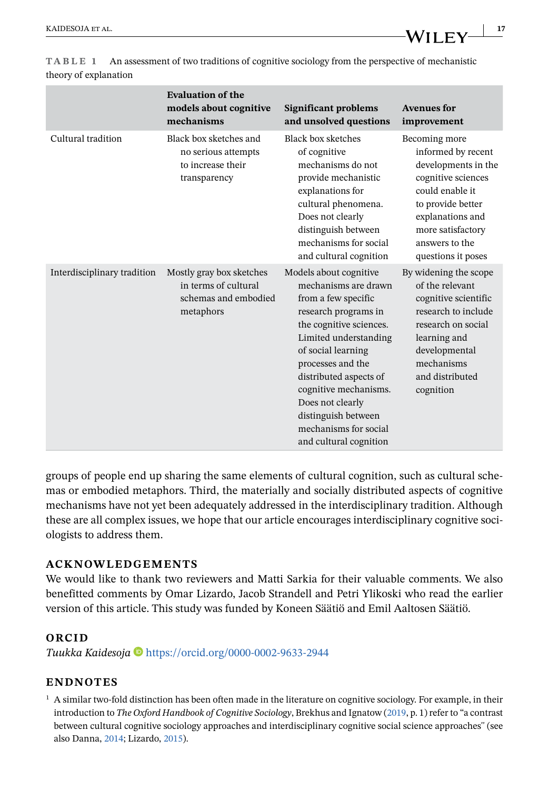|                             | <b>Evaluation of the</b><br>models about cognitive<br>mechanisms                      | <b>Significant problems</b><br>and unsolved questions                                                                                                                                                                                                                                                                                         | <b>Avenues</b> for<br>improvement                                                                                                                                                                         |
|-----------------------------|---------------------------------------------------------------------------------------|-----------------------------------------------------------------------------------------------------------------------------------------------------------------------------------------------------------------------------------------------------------------------------------------------------------------------------------------------|-----------------------------------------------------------------------------------------------------------------------------------------------------------------------------------------------------------|
| Cultural tradition          | Black box sketches and<br>no serious attempts<br>to increase their<br>transparency    | Black box sketches<br>of cognitive<br>mechanisms do not<br>provide mechanistic<br>explanations for<br>cultural phenomena.<br>Does not clearly<br>distinguish between<br>mechanisms for social<br>and cultural cognition                                                                                                                       | Becoming more<br>informed by recent<br>developments in the<br>cognitive sciences<br>could enable it<br>to provide better<br>explanations and<br>more satisfactory<br>answers to the<br>questions it poses |
| Interdisciplinary tradition | Mostly gray box sketches<br>in terms of cultural<br>schemas and embodied<br>metaphors | Models about cognitive<br>mechanisms are drawn<br>from a few specific<br>research programs in<br>the cognitive sciences.<br>Limited understanding<br>of social learning<br>processes and the<br>distributed aspects of<br>cognitive mechanisms.<br>Does not clearly<br>distinguish between<br>mechanisms for social<br>and cultural cognition | By widening the scope<br>of the relevant<br>cognitive scientific<br>research to include<br>research on social<br>learning and<br>developmental<br>mechanisms<br>and distributed<br>cognition              |

<span id="page-16-1"></span>**TABLE 1** An assessment of two traditions of cognitive sociology from the perspective of mechanistic theory of explanation

groups of people end up sharing the same elements of cultural cognition, such as cultural schemas or embodied metaphors. Third, the materially and socially distributed aspects of cognitive mechanisms have not yet been adequately addressed in the interdisciplinary tradition. Although these are all complex issues, we hope that our article encourages interdisciplinary cognitive sociologists to address them.

#### **ACKNOWLEDGEMENTS**

We would like to thank two reviewers and Matti Sarkia for their valuable comments. We also benefitted comments by Omar Lizardo, Jacob Strandell and Petri Ylikoski who read the earlier version of this article. This study was funded by Koneen Säätiö and Emil Aaltosen Säätiö.

#### **ORCID**

*Tuukka Kaidesoja* <https://orcid.org/0000-0002-9633-2944>

#### **ENDNOTES**

<span id="page-16-0"></span> $1$  A similar two-fold distinction has been often made in the literature on cognitive sociology. For example, in their introduction to *The Oxford Handbook of Cognitive Sociology*, Brekhus and Ignatow ([2019,](#page-17-3) p. 1) refer to "a contrast between cultural cognitive sociology approaches and interdisciplinary cognitive social science approaches'' (see also Danna, [2014;](#page-17-25) Lizardo, [2015](#page-18-6)).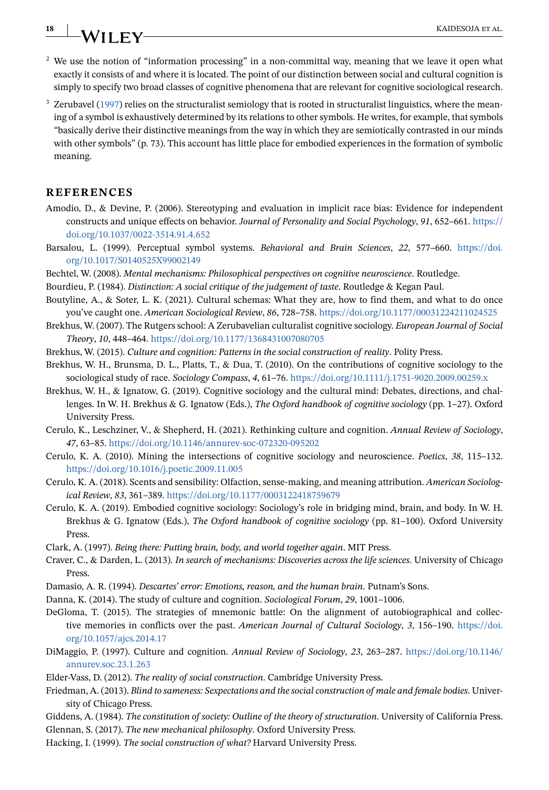- <span id="page-17-7"></span><sup>2</sup> We use the notion of "information processing" in a non-committal way, meaning that we leave it open what exactly it consists of and where it is located. The point of our distinction between social and cultural cognition is simply to specify two broad classes of cognitive phenomena that are relevant for cognitive sociological research.
- <span id="page-17-12"></span><sup>3</sup> Zerubavel [\(1997](#page-19-1)) relies on the structuralist semiology that is rooted in structuralist linguistics, where the meaning of a symbol is exhaustively determined by its relations to other symbols. He writes, for example, that symbols "basically derive their distinctive meanings from the way in which they are semiotically contrasted in our minds with other symbols" (p. 73). This account has little place for embodied experiences in the formation of symbolic meaning.

#### **REFERENCES**

- <span id="page-17-16"></span>Amodio, D., & Devine, P. (2006). Stereotyping and evaluation in implicit race bias: Evidence for independent constructs and unique effects on behavior. *Journal of Personality and Social Psychology*, *91*, 652–661. [https://](https://doi.org/10.1037/0022-3514.91.4.652) [doi.org/10.1037/0022-3514.91.4.652](https://doi.org/10.1037/0022-3514.91.4.652)
- <span id="page-17-17"></span>Barsalou, L. (1999). Perceptual symbol systems. *Behavioral and Brain Sciences*, *22*, 577–660. [https://doi.](https://doi.org/10.1017/S0140525X99002149) [org/10.1017/S0140525X99002149](https://doi.org/10.1017/S0140525X99002149)
- <span id="page-17-4"></span>Bechtel, W. (2008). *Mental mechanisms: Philosophical perspectives on cognitive neuroscience*. Routledge.
- <span id="page-17-19"></span>Bourdieu, P. (1984). *Distinction: A social critique of the judgement of taste*. Routledge & Kegan Paul.
- <span id="page-17-21"></span>Boutyline, A., & Soter, L. K. (2021). Cultural schemas: What they are, how to find them, and what to do once you've caught one. *American Sociological Review*, *86*, 728–758. <https://doi.org/10.1177/00031224211024525>
- <span id="page-17-0"></span>Brekhus, W. (2007). The Rutgers school: A Zerubavelian culturalist cognitive sociology. *European Journal of Social Theory*, *10*, 448–464.<https://doi.org/10.1177/1368431007080705>
- <span id="page-17-1"></span>Brekhus, W. (2015). *Culture and cognition: Patterns in the social construction of reality*. Polity Press.
- <span id="page-17-15"></span>Brekhus, W. H., Brunsma, D. L., Platts, T., & Dua, T. (2010). On the contributions of cognitive sociology to the sociological study of race. *Sociology Compass*, *4*, 61–76.<https://doi.org/10.1111/j.1751-9020.2009.00259.x>
- <span id="page-17-3"></span>Brekhus, W. H., & Ignatow, G. (2019). Cognitive sociology and the cultural mind: Debates, directions, and challenges. In W. H. Brekhus & G. Ignatow (Eds.), *The Oxford handbook of cognitive sociology* (pp. 1–27). Oxford University Press.
- <span id="page-17-6"></span>Cerulo, K., Leschziner, V., & Shepherd, H. (2021). Rethinking culture and cognition. *Annual Review of Sociology*, *47*, 63–85.<https://doi.org/10.1146/annurev-soc-072320-095202>
- <span id="page-17-24"></span>Cerulo, K. A. (2010). Mining the intersections of cognitive sociology and neuroscience. *Poetics*, *38*, 115–132. <https://doi.org/10.1016/j.poetic.2009.11.005>
- <span id="page-17-20"></span>Cerulo, K. A. (2018). Scents and sensibility: Olfaction, sense-making, and meaning attribution. *American Sociological Review*, *83*, 361–389.<https://doi.org/10.1177/0003122418759679>
- <span id="page-17-23"></span>Cerulo, K. A. (2019). Embodied cognitive sociology: Sociology's role in bridging mind, brain, and body. In W. H. Brekhus & G. Ignatow (Eds.), *The Oxford handbook of cognitive sociology* (pp. 81–100). Oxford University Press.
- <span id="page-17-5"></span>Clark, A. (1997). *Being there: Putting brain, body, and world together again*. MIT Press.
- <span id="page-17-9"></span>Craver, C., & Darden, L. (2013). *In search of mechanisms: Discoveries across the life sciences*. University of Chicago Press.
- <span id="page-17-22"></span>Damasio, A. R. (1994). *Descartes' error: Emotions, reason, and the human brain*. Putnam's Sons.
- <span id="page-17-25"></span>Danna, K. (2014). The study of culture and cognition. *Sociological Forum*, *29*, 1001–1006.
- <span id="page-17-10"></span>DeGloma, T. (2015). The strategies of mnemonic battle: On the alignment of autobiographical and collective memories in conflicts over the past. *American Journal of Cultural Sociology*, *3*, 156–190. [https://doi.](https://doi.org/10.1057/ajcs.2014.17) [org/10.1057/ajcs.2014.17](https://doi.org/10.1057/ajcs.2014.17)
- <span id="page-17-2"></span>DiMaggio, P. (1997). Culture and cognition. *Annual Review of Sociology*, *23*, 263–287. [https://doi.org/10.1146/](https://doi.org/10.1146/annurev.soc.23.1.263) [annurev.soc.23.1.263](https://doi.org/10.1146/annurev.soc.23.1.263)
- <span id="page-17-13"></span>Elder-Vass, D. (2012). *The reality of social construction*. Cambridge University Press.
- <span id="page-17-11"></span>Friedman, A. (2013). *Blind to sameness: Sexpectations and the social construction of male and female bodies*. University of Chicago Press.
- <span id="page-17-18"></span>Giddens, A. (1984). *The constitution of society: Outline of the theory of structuration*. University of California Press.
- <span id="page-17-8"></span>Glennan, S. (2017). *The new mechanical philosophy*. Oxford University Press.
- <span id="page-17-14"></span>Hacking, I. (1999). *The social construction of what?* Harvard University Press.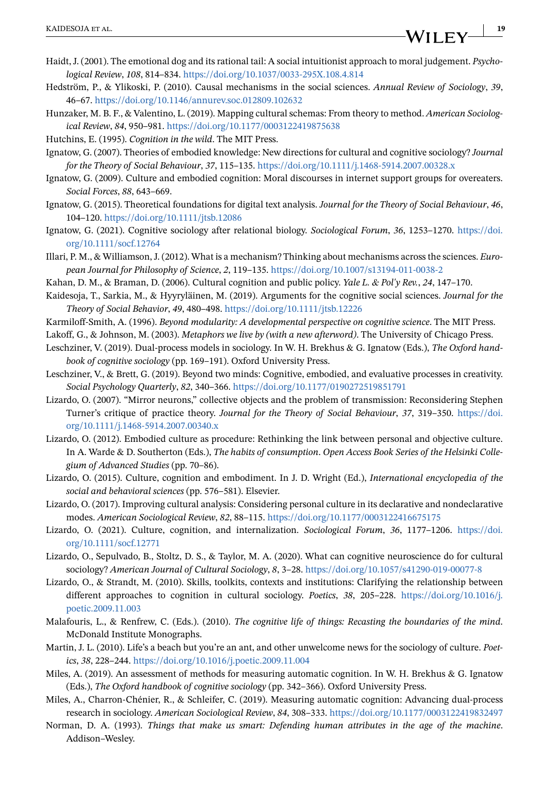- <span id="page-18-12"></span>Haidt, J. (2001). The emotional dog and its rational tail: A social intuitionist approach to moral judgement. *Psychological Review*, *108*, 814–834. <https://doi.org/10.1037/0033-295X.108.4.814>
- <span id="page-18-2"></span>Hedström, P., & Ylikoski, P. (2010). Causal mechanisms in the social sciences. *Annual Review of Sociology*, *39*, 46–67. <https://doi.org/10.1146/annurev.soc.012809.102632>
- <span id="page-18-14"></span>Hunzaker, M. B. F., & Valentino, L. (2019). Mapping cultural schemas: From theory to method. *American Sociological Review*, *84*, 950–981.<https://doi.org/10.1177/0003122419875638>
- <span id="page-18-0"></span>Hutchins, E. (1995). *Cognition in the wild*. The MIT Press.
- <span id="page-18-7"></span>Ignatow, G. (2007). Theories of embodied knowledge: New directions for cultural and cognitive sociology? *Journal for the Theory of Social Behaviour*, *37*, 115–135.<https://doi.org/10.1111/j.1468-5914.2007.00328.x>
- <span id="page-18-19"></span>Ignatow, G. (2009). Culture and embodied cognition: Moral discourses in internet support groups for overeaters. *Social Forces*, *88*, 643–669.
- <span id="page-18-22"></span>Ignatow, G. (2015). Theoretical foundations for digital text analysis. *Journal for the Theory of Social Behaviour*, *46*, 104–120.<https://doi.org/10.1111/jtsb.12086>
- <span id="page-18-8"></span>Ignatow, G. (2021). Cognitive sociology after relational biology. *Sociological Forum*, *36*, 1253–1270. [https://doi.](https://doi.org/10.1111/socf.12764) [org/10.1111/socf.12764](https://doi.org/10.1111/socf.12764)
- <span id="page-18-3"></span>Illari, P. M., & Williamson, J. (2012). What is a mechanism? Thinking about mechanisms across the sciences. *European Journal for Philosophy of Science*, *2*, 119–135.<https://doi.org/10.1007/s13194-011-0038-2>
- <span id="page-18-4"></span>Kahan, D. M., & Braman, D. (2006). Cultural cognition and public policy. *Yale L. & Pol'y Rev.*, *24*, 147–170.
- <span id="page-18-10"></span>Kaidesoja, T., Sarkia, M., & Hyyryläinen, M. (2019). Arguments for the cognitive social sciences. *Journal for the Theory of Social Behavior*, *49*, 480–498.<https://doi.org/10.1111/jtsb.12226>
- <span id="page-18-11"></span>Karmiloff-Smith, A. (1996). *Beyond modularity: A developmental perspective on cognitive science*. The MIT Press.
- <span id="page-18-18"></span>Lakoff, G., & Johnson, M. (2003). *Metaphors we live by (with a new afterword)*. The University of Chicago Press.
- <span id="page-18-13"></span>Leschziner, V. (2019). Dual-process models in sociology. In W. H. Brekhus & G. Ignatow (Eds.), *The Oxford handbook of cognitive sociology* (pp. 169–191). Oxford University Press.
- <span id="page-18-16"></span>Leschziner, V., & Brett, G. (2019). Beyond two minds: Cognitive, embodied, and evaluative processes in creativity. *Social Psychology Quarterly*, *82*, 340–366. <https://doi.org/10.1177/0190272519851791>
- <span id="page-18-24"></span>Lizardo, O. (2007). "Mirror neurons," collective objects and the problem of transmission: Reconsidering Stephen Turner's critique of practice theory. *Journal for the Theory of Social Behaviour*, *37*, 319–350. [https://doi.](https://doi.org/10.1111/j.1468-5914.2007.00340.x) [org/10.1111/j.1468-5914.2007.00340.x](https://doi.org/10.1111/j.1468-5914.2007.00340.x)
- <span id="page-18-5"></span>Lizardo, O. (2012). Embodied culture as procedure: Rethinking the link between personal and objective culture. In A. Warde & D. Southerton (Eds.), *The habits of consumption*. *Open Access Book Series of the Helsinki Collegium of Advanced Studies* (pp. 70–86).
- <span id="page-18-6"></span>Lizardo, O. (2015). Culture, cognition and embodiment. In J. D. Wright (Ed.), *International encyclopedia of the social and behavioral sciences* (pp. 576–581). Elsevier.
- <span id="page-18-1"></span>Lizardo, O. (2017). Improving cultural analysis: Considering personal culture in its declarative and nondeclarative modes. *American Sociological Review*, *82*, 88–115.<https://doi.org/10.1177/0003122416675175>
- <span id="page-18-20"></span>Lizardo, O. (2021). Culture, cognition, and internalization. *Sociological Forum*, *36*, 1177–1206. [https://doi.](https://doi.org/10.1111/socf.12771) [org/10.1111/socf.12771](https://doi.org/10.1111/socf.12771)
- <span id="page-18-21"></span>Lizardo, O., Sepulvado, B., Stoltz, D. S., & Taylor, M. A. (2020). What can cognitive neuroscience do for cultural sociology? *American Journal of Cultural Sociology*, *8*, 3–28. <https://doi.org/10.1057/s41290-019-00077-8>
- <span id="page-18-23"></span>Lizardo, O., & Strandt, M. (2010). Skills, toolkits, contexts and institutions: Clarifying the relationship between different approaches to cognition in cultural sociology. *Poetics*, *38*, 205–228. [https://doi.org/10.1016/j.](https://doi.org/10.1016/j.poetic.2009.11.003) [poetic.2009.11.003](https://doi.org/10.1016/j.poetic.2009.11.003)
- <span id="page-18-25"></span>Malafouris, L., & Renfrew, C. (Eds.). (2010). *The cognitive life of things: Recasting the boundaries of the mind*. McDonald Institute Monographs.
- <span id="page-18-9"></span>Martin, J. L. (2010). Life's a beach but you're an ant, and other unwelcome news for the sociology of culture. *Poetics*, *38*, 228–244. <https://doi.org/10.1016/j.poetic.2009.11.004>
- <span id="page-18-17"></span>Miles, A. (2019). An assessment of methods for measuring automatic cognition. In W. H. Brekhus & G. Ignatow (Eds.), *The Oxford handbook of cognitive sociology* (pp. 342–366). Oxford University Press.
- <span id="page-18-15"></span>Miles, A., Charron-Chénier, R., & Schleifer, C. (2019). Measuring automatic cognition: Advancing dual-process research in sociology. *American Sociological Review*, *84*, 308–333.<https://doi.org/10.1177/0003122419832497>
- <span id="page-18-26"></span>Norman, D. A. (1993). *Things that make us smart: Defending human attributes in the age of the machine*. Addison–Wesley.